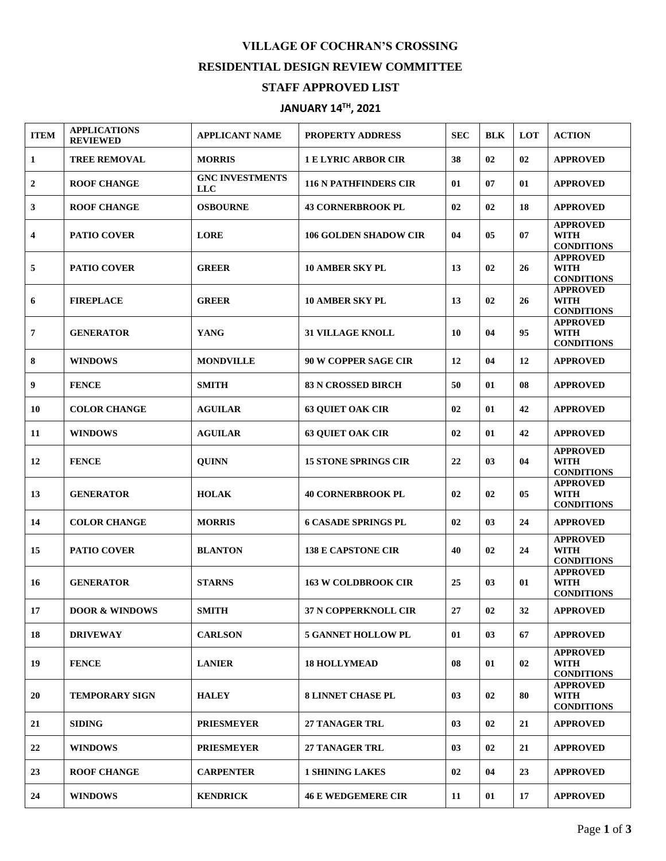## **VILLAGE OF COCHRAN'S CROSSING RESIDENTIAL DESIGN REVIEW COMMITTEE**

## **STAFF APPROVED LIST**

## **JANUARY 14 TH , 2021**

| <b>ITEM</b> | <b>APPLICATIONS</b><br><b>REVIEWED</b> | <b>APPLICANT NAME</b>                | <b>PROPERTY ADDRESS</b>      | <b>SEC</b> | <b>BLK</b> | LOT | <b>ACTION</b>                                       |
|-------------|----------------------------------------|--------------------------------------|------------------------------|------------|------------|-----|-----------------------------------------------------|
| 1           | <b>TREE REMOVAL</b>                    | <b>MORRIS</b>                        | <b>1 E LYRIC ARBOR CIR</b>   | 38         | 02         | 02  | <b>APPROVED</b>                                     |
| 2           | <b>ROOF CHANGE</b>                     | <b>GNC INVESTMENTS</b><br><b>LLC</b> | <b>116 N PATHFINDERS CIR</b> | 01         | 07         | 01  | <b>APPROVED</b>                                     |
| 3           | <b>ROOF CHANGE</b>                     | <b>OSBOURNE</b>                      | <b>43 CORNERBROOK PL</b>     | 02         | 02         | 18  | <b>APPROVED</b>                                     |
| 4           | <b>PATIO COVER</b>                     | <b>LORE</b>                          | <b>106 GOLDEN SHADOW CIR</b> | 04         | 05         | 07  | <b>APPROVED</b><br><b>WITH</b><br><b>CONDITIONS</b> |
| 5           | <b>PATIO COVER</b>                     | <b>GREER</b>                         | <b>10 AMBER SKY PL</b>       | 13         | 02         | 26  | <b>APPROVED</b><br><b>WITH</b><br><b>CONDITIONS</b> |
| 6           | <b>FIREPLACE</b>                       | <b>GREER</b>                         | <b>10 AMBER SKY PL</b>       | 13         | 02         | 26  | <b>APPROVED</b><br><b>WITH</b><br><b>CONDITIONS</b> |
| 7           | <b>GENERATOR</b>                       | <b>YANG</b>                          | <b>31 VILLAGE KNOLL</b>      | 10         | 04         | 95  | <b>APPROVED</b><br><b>WITH</b><br><b>CONDITIONS</b> |
| 8           | <b>WINDOWS</b>                         | <b>MONDVILLE</b>                     | <b>90 W COPPER SAGE CIR</b>  | 12         | 04         | 12  | <b>APPROVED</b>                                     |
| 9           | <b>FENCE</b>                           | <b>SMITH</b>                         | <b>83 N CROSSED BIRCH</b>    | 50         | 01         | 08  | <b>APPROVED</b>                                     |
| 10          | <b>COLOR CHANGE</b>                    | <b>AGUILAR</b>                       | <b>63 QUIET OAK CIR</b>      | 02         | 01         | 42  | <b>APPROVED</b>                                     |
| 11          | <b>WINDOWS</b>                         | <b>AGUILAR</b>                       | <b>63 OUIET OAK CIR</b>      | 02         | 01         | 42  | <b>APPROVED</b>                                     |
| 12          | <b>FENCE</b>                           | <b>QUINN</b>                         | <b>15 STONE SPRINGS CIR</b>  | 22         | 03         | 04  | <b>APPROVED</b><br><b>WITH</b><br><b>CONDITIONS</b> |
| 13          | <b>GENERATOR</b>                       | <b>HOLAK</b>                         | <b>40 CORNERBROOK PL</b>     | 02         | 02         | 05  | <b>APPROVED</b><br><b>WITH</b><br><b>CONDITIONS</b> |
| 14          | <b>COLOR CHANGE</b>                    | <b>MORRIS</b>                        | <b>6 CASADE SPRINGS PL</b>   | 02         | 03         | 24  | <b>APPROVED</b>                                     |
| 15          | <b>PATIO COVER</b>                     | <b>BLANTON</b>                       | <b>138 E CAPSTONE CIR</b>    | 40         | 02         | 24  | <b>APPROVED</b><br><b>WITH</b><br><b>CONDITIONS</b> |
| 16          | <b>GENERATOR</b>                       | <b>STARNS</b>                        | <b>163 W COLDBROOK CIR</b>   | 25         | 03         | 01  | <b>APPROVED</b><br><b>WITH</b><br><b>CONDITIONS</b> |
| 17          | <b>DOOR &amp; WINDOWS</b>              | SMITH                                | 37 N COPPERKNOLL CIR         | 27         | 02         | 32  | <b>APPROVED</b>                                     |
| 18          | <b>DRIVEWAY</b>                        | <b>CARLSON</b>                       | <b>5 GANNET HOLLOW PL</b>    | 01         | 03         | 67  | <b>APPROVED</b>                                     |
| 19          | <b>FENCE</b>                           | <b>LANIER</b>                        | <b>18 HOLLYMEAD</b>          | 08         | 01         | 02  | <b>APPROVED</b><br><b>WITH</b><br><b>CONDITIONS</b> |
| 20          | <b>TEMPORARY SIGN</b>                  | <b>HALEY</b>                         | <b>8 LINNET CHASE PL</b>     | 03         | 02         | 80  | <b>APPROVED</b><br><b>WITH</b><br><b>CONDITIONS</b> |
| 21          | <b>SIDING</b>                          | <b>PRIESMEYER</b>                    | <b>27 TANAGER TRL</b>        | 03         | 02         | 21  | <b>APPROVED</b>                                     |
| 22          | <b>WINDOWS</b>                         | <b>PRIESMEYER</b>                    | <b>27 TANAGER TRL</b>        | 03         | 02         | 21  | <b>APPROVED</b>                                     |
| 23          | <b>ROOF CHANGE</b>                     | <b>CARPENTER</b>                     | <b>1 SHINING LAKES</b>       | 02         | 04         | 23  | <b>APPROVED</b>                                     |
| 24          | <b>WINDOWS</b>                         | <b>KENDRICK</b>                      | <b>46 E WEDGEMERE CIR</b>    | 11         | 01         | 17  | <b>APPROVED</b>                                     |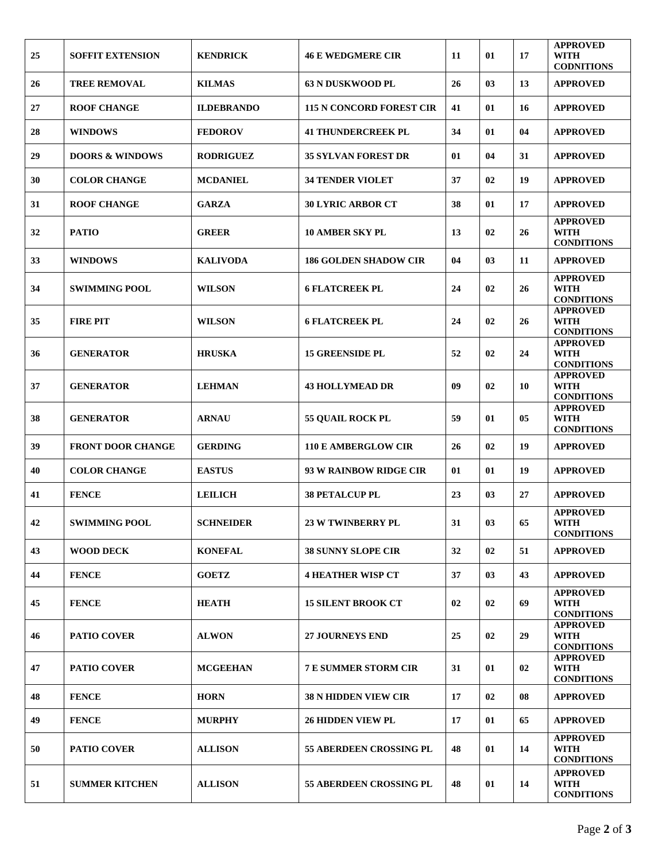| 25 | <b>SOFFIT EXTENSION</b>    | <b>KENDRICK</b>   | <b>46 E WEDGMERE CIR</b>        | 11 | 01 | 17 | <b>APPROVED</b><br><b>WITH</b><br><b>CODNITIONS</b> |
|----|----------------------------|-------------------|---------------------------------|----|----|----|-----------------------------------------------------|
| 26 | <b>TREE REMOVAL</b>        | <b>KILMAS</b>     | <b>63 N DUSKWOOD PL</b>         | 26 | 03 | 13 | <b>APPROVED</b>                                     |
| 27 | <b>ROOF CHANGE</b>         | <b>ILDEBRANDO</b> | <b>115 N CONCORD FOREST CIR</b> | 41 | 01 | 16 | <b>APPROVED</b>                                     |
| 28 | <b>WINDOWS</b>             | <b>FEDOROV</b>    | <b>41 THUNDERCREEK PL</b>       | 34 | 01 | 04 | <b>APPROVED</b>                                     |
| 29 | <b>DOORS &amp; WINDOWS</b> | <b>RODRIGUEZ</b>  | <b>35 SYLVAN FOREST DR</b>      | 01 | 04 | 31 | <b>APPROVED</b>                                     |
| 30 | <b>COLOR CHANGE</b>        | <b>MCDANIEL</b>   | <b>34 TENDER VIOLET</b>         | 37 | 02 | 19 | <b>APPROVED</b>                                     |
| 31 | <b>ROOF CHANGE</b>         | <b>GARZA</b>      | <b>30 LYRIC ARBOR CT</b>        | 38 | 01 | 17 | <b>APPROVED</b>                                     |
| 32 | <b>PATIO</b>               | <b>GREER</b>      | <b>10 AMBER SKY PL</b>          | 13 | 02 | 26 | <b>APPROVED</b><br>WITH<br><b>CONDITIONS</b>        |
| 33 | <b>WINDOWS</b>             | <b>KALIVODA</b>   | <b>186 GOLDEN SHADOW CIR</b>    | 04 | 03 | 11 | <b>APPROVED</b>                                     |
| 34 | <b>SWIMMING POOL</b>       | <b>WILSON</b>     | <b>6 FLATCREEK PL</b>           | 24 | 02 | 26 | <b>APPROVED</b><br><b>WITH</b><br><b>CONDITIONS</b> |
| 35 | <b>FIRE PIT</b>            | <b>WILSON</b>     | <b>6 FLATCREEK PL</b>           | 24 | 02 | 26 | <b>APPROVED</b><br><b>WITH</b><br><b>CONDITIONS</b> |
| 36 | <b>GENERATOR</b>           | <b>HRUSKA</b>     | <b>15 GREENSIDE PL</b>          | 52 | 02 | 24 | <b>APPROVED</b><br><b>WITH</b><br><b>CONDITIONS</b> |
| 37 | <b>GENERATOR</b>           | <b>LEHMAN</b>     | <b>43 HOLLYMEAD DR</b>          | 09 | 02 | 10 | <b>APPROVED</b><br><b>WITH</b><br><b>CONDITIONS</b> |
| 38 | <b>GENERATOR</b>           | <b>ARNAU</b>      | 55 QUAIL ROCK PL                | 59 | 01 | 05 | <b>APPROVED</b><br><b>WITH</b><br><b>CONDITIONS</b> |
| 39 | <b>FRONT DOOR CHANGE</b>   | <b>GERDING</b>    | <b>110 E AMBERGLOW CIR</b>      | 26 | 02 | 19 | <b>APPROVED</b>                                     |
| 40 | <b>COLOR CHANGE</b>        | <b>EASTUS</b>     | 93 W RAINBOW RIDGE CIR          | 01 | 01 | 19 | <b>APPROVED</b>                                     |
| 41 | <b>FENCE</b>               | <b>LEILICH</b>    | <b>38 PETALCUP PL</b>           | 23 | 03 | 27 | <b>APPROVED</b>                                     |
| 42 | <b>SWIMMING POOL</b>       | <b>SCHNEIDER</b>  | <b>23 W TWINBERRY PL</b>        | 31 | 03 | 65 | <b>APPROVED</b><br><b>WITH</b><br><b>CONDITIONS</b> |
| 43 | <b>WOOD DECK</b>           | <b>KONEFAL</b>    | <b>38 SUNNY SLOPE CIR</b>       | 32 | 02 | 51 | <b>APPROVED</b>                                     |
| 44 | <b>FENCE</b>               | <b>GOETZ</b>      | <b>4 HEATHER WISP CT</b>        | 37 | 03 | 43 | <b>APPROVED</b>                                     |
| 45 | <b>FENCE</b>               | <b>HEATH</b>      | <b>15 SILENT BROOK CT</b>       | 02 | 02 | 69 | <b>APPROVED</b><br><b>WITH</b><br><b>CONDITIONS</b> |
| 46 | <b>PATIO COVER</b>         | <b>ALWON</b>      | <b>27 JOURNEYS END</b>          | 25 | 02 | 29 | <b>APPROVED</b><br><b>WITH</b><br><b>CONDITIONS</b> |
| 47 | <b>PATIO COVER</b>         | <b>MCGEEHAN</b>   | <b>7 E SUMMER STORM CIR</b>     | 31 | 01 | 02 | <b>APPROVED</b><br><b>WITH</b><br><b>CONDITIONS</b> |
| 48 | <b>FENCE</b>               | <b>HORN</b>       | <b>38 N HIDDEN VIEW CIR</b>     | 17 | 02 | 08 | <b>APPROVED</b>                                     |
| 49 | <b>FENCE</b>               | <b>MURPHY</b>     | <b>26 HIDDEN VIEW PL</b>        | 17 | 01 | 65 | <b>APPROVED</b>                                     |
| 50 | <b>PATIO COVER</b>         | <b>ALLISON</b>    | <b>55 ABERDEEN CROSSING PL</b>  | 48 | 01 | 14 | <b>APPROVED</b><br><b>WITH</b><br><b>CONDITIONS</b> |
| 51 | <b>SUMMER KITCHEN</b>      | <b>ALLISON</b>    | <b>55 ABERDEEN CROSSING PL</b>  | 48 | 01 | 14 | <b>APPROVED</b><br><b>WITH</b><br><b>CONDITIONS</b> |